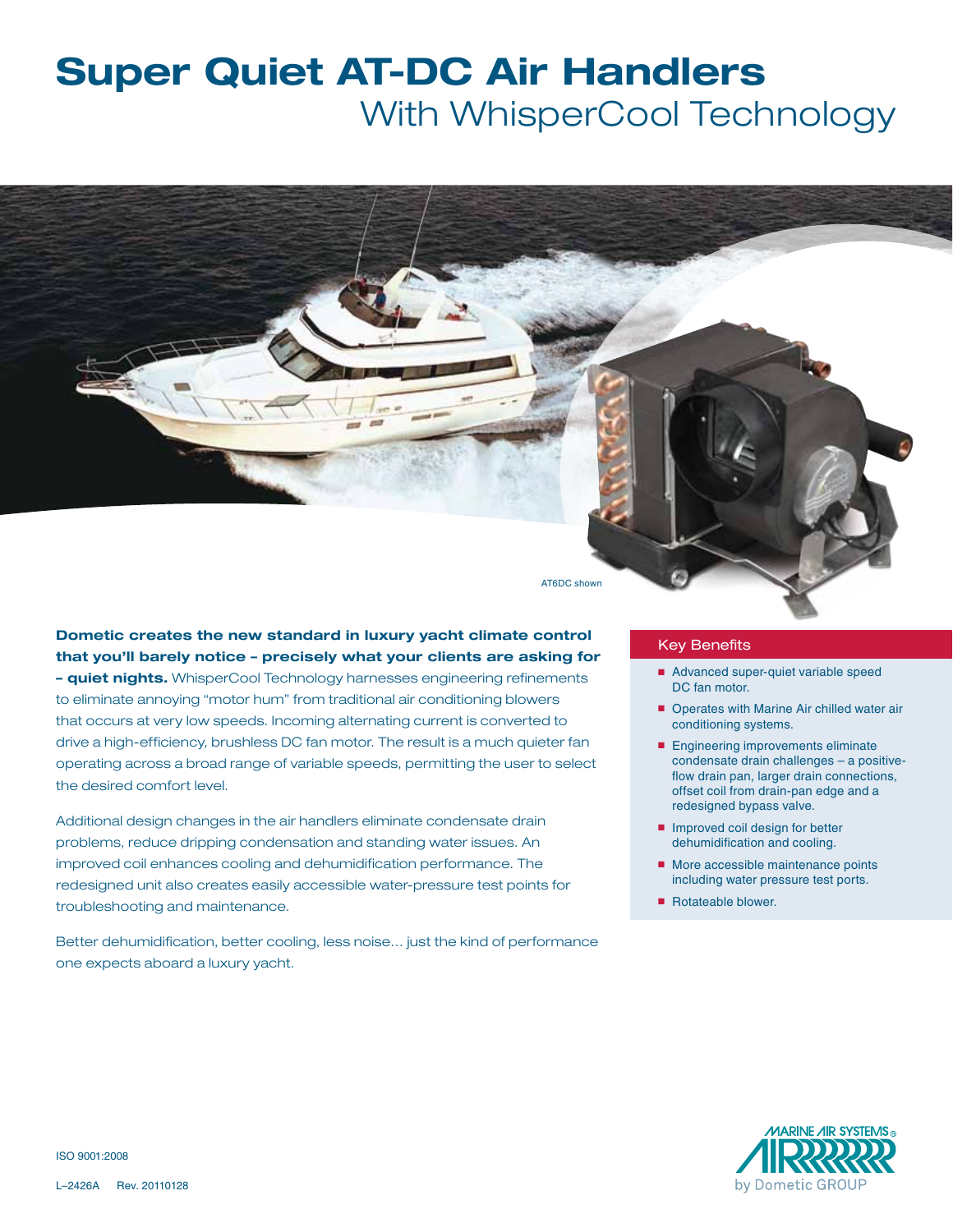# **Super Quiet AT-DC Air Handlers** With WhisperCool Technology

AT6DC shown

**Dometic creates the new standard in luxury yacht climate control that you'll barely notice – precisely what your clients are asking for** 

**– quiet nights.** WhisperCool Technology harnesses engineering refinements to eliminate annoying "motor hum" from traditional air conditioning blowers that occurs at very low speeds. Incoming alternating current is converted to drive a high-efficiency, brushless DC fan motor. The result is a much quieter fan operating across a broad range of variable speeds, permitting the user to select the desired comfort level.

Additional design changes in the air handlers eliminate condensate drain problems, reduce dripping condensation and standing water issues. An improved coil enhances cooling and dehumidification performance. The redesigned unit also creates easily accessible water-pressure test points for troubleshooting and maintenance.

Better dehumidification, better cooling, less noise… just the kind of performance one expects aboard a luxury yacht.

#### Key Benefits

- Advanced super-quiet variable speed DC fan motor.
- Operates with Marine Air chilled water air conditioning systems.
- Engineering improvements eliminate condensate drain challenges – a positiveflow drain pan, larger drain connections, offset coil from drain-pan edge and a redesigned bypass valve.
- Improved coil design for better dehumidification and cooling.
- More accessible maintenance points including water pressure test ports.
- Rotateable blower.



ISO 9001:2008